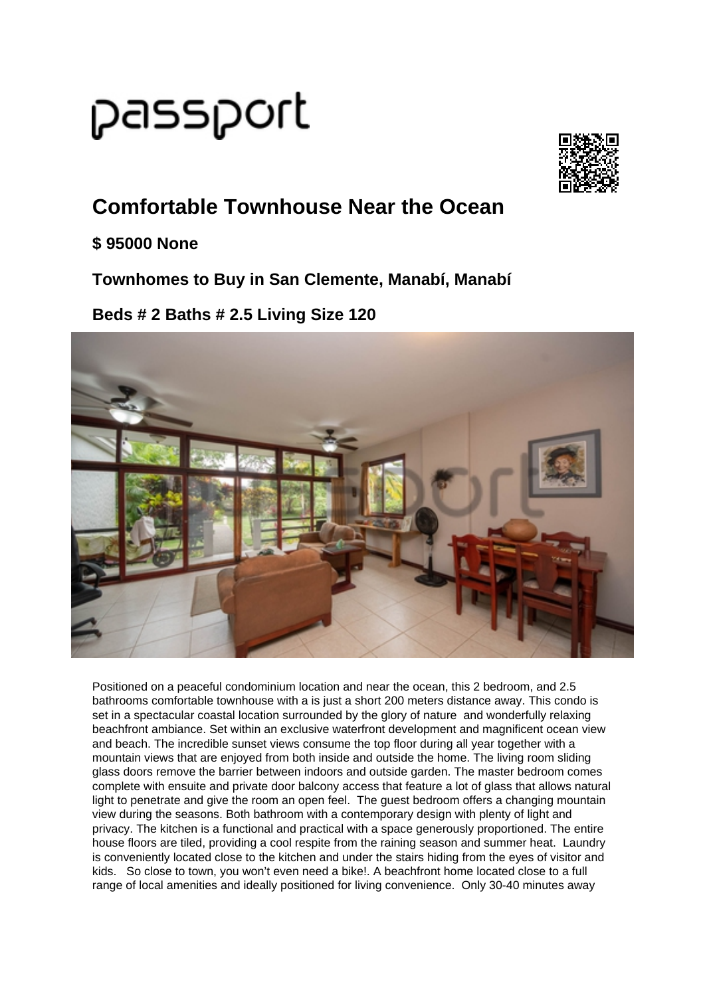# passport



## **Comfortable Townhouse Near the Ocean**

#### **\$ 95000 None**

**Townhomes to Buy in San Clemente, Manabí, Manabí**

### **Beds # 2 Baths # 2.5 Living Size 120**



Positioned on a peaceful condominium location and near the ocean, this 2 bedroom, and 2.5 bathrooms comfortable townhouse with a is just a short 200 meters distance away. This condo is set in a spectacular coastal location surrounded by the glory of nature and wonderfully relaxing beachfront ambiance. Set within an exclusive waterfront development and magnificent ocean view and beach. The incredible sunset views consume the top floor during all year together with a mountain views that are enjoyed from both inside and outside the home. The living room sliding glass doors remove the barrier between indoors and outside garden. The master bedroom comes complete with ensuite and private door balcony access that feature a lot of glass that allows natural light to penetrate and give the room an open feel. The guest bedroom offers a changing mountain view during the seasons. Both bathroom with a contemporary design with plenty of light and privacy. The kitchen is a functional and practical with a space generously proportioned. The entire house floors are tiled, providing a cool respite from the raining season and summer heat. Laundry is conveniently located close to the kitchen and under the stairs hiding from the eyes of visitor and kids. So close to town, you won't even need a bike!. A beachfront home located close to a full range of local amenities and ideally positioned for living convenience. Only 30-40 minutes away